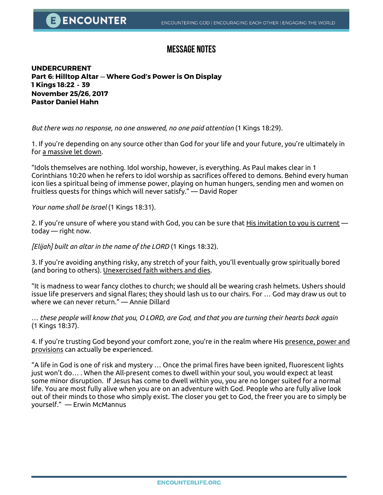## **Message Notes**

**UNDERCURRENT Part 6: Hilltop Altar** — **Where God's Power is On Display 1 Kings 18:22 - 39 November 25/26, 2017 Pastor Daniel Hahn** 

*But there was no response, no one answered, no one paid attention* (1 Kings 18:29).

1. If you're depending on any source other than God for your life and your future, you're ultimately in for a massive let down.

"Idols themselves are nothing. Idol worship, however, is everything. As Paul makes clear in 1 Corinthians 10:20 when he refers to idol worship as sacrifices offered to demons. Behind every human icon lies a spiritual being of immense power, playing on human hungers, sending men and women on fruitless quests for things which will never satisfy." — David Roper

*Your name shall be Israel* (1 Kings 18:31).

2. If you're unsure of where you stand with God, you can be sure that His invitation to you is current today — right now.

*[Elijah] built an altar in the name of the LORD* (1 Kings 18:32).

3. If you're avoiding anything risky, any stretch of your faith, you'll eventually grow spiritually bored (and boring to others). Unexercised faith withers and dies.

"It is madness to wear fancy clothes to church; we should all be wearing crash helmets. Ushers should issue life preservers and signal flares; they should lash us to our chairs. For … God may draw us out to where we can never return." — Annie Dillard

*… these people will know that you, O LORD, are God, and that you are turning their hearts back again*  (1 Kings 18:37).

4. If you're trusting God beyond your comfort zone, you're in the realm where His presence, power and provisions can actually be experienced.

"A life in God is one of risk and mystery … Once the primal fires have been ignited, fluorescent lights just won't do… . When the All-present comes to dwell within your soul, you would expect at least some minor disruption. If Jesus has come to dwell within you, you are no longer suited for a normal life. You are most fully alive when you are on an adventure with God. People who are fully alive look out of their minds to those who simply exist. The closer you get to God, the freer you are to simply be yourself." — Erwin McMannus